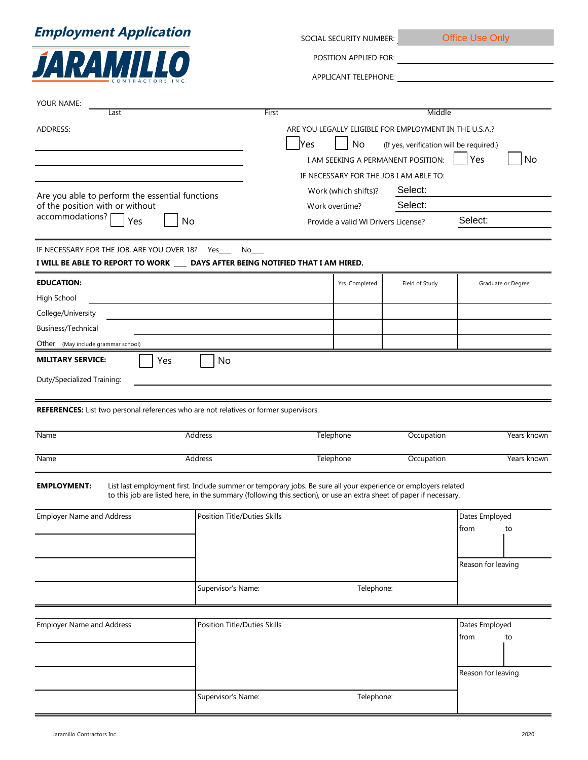## **Employment Application**



| SOCIAL SECURITY NUMBER: | <b>Office Use Only</b> |
|-------------------------|------------------------|
|                         |                        |

POSITION APPLIED FOR:

APPLICANT TELEPHONE:

| YOUR NAME:                                                                            |                                                                                                                                                                                                                                      |                                                                                                                  |                      |                                        |                        |                    |
|---------------------------------------------------------------------------------------|--------------------------------------------------------------------------------------------------------------------------------------------------------------------------------------------------------------------------------------|------------------------------------------------------------------------------------------------------------------|----------------------|----------------------------------------|------------------------|--------------------|
| Last                                                                                  |                                                                                                                                                                                                                                      | Middle<br>First                                                                                                  |                      |                                        |                        |                    |
| ADDRESS:                                                                              |                                                                                                                                                                                                                                      | ARE YOU LEGALLY ELIGIBLE FOR EMPLOYMENT IN THE U.S.A.?<br> Yes<br>No<br>(If yes, verification will be required.) |                      |                                        |                        |                    |
|                                                                                       |                                                                                                                                                                                                                                      |                                                                                                                  |                      | I AM SEEKING A PERMANENT POSITION:     | Yes                    | No                 |
|                                                                                       |                                                                                                                                                                                                                                      |                                                                                                                  |                      | IF NECESSARY FOR THE JOB I AM ABLE TO: |                        |                    |
|                                                                                       |                                                                                                                                                                                                                                      |                                                                                                                  | Work (which shifts)? | Select:                                |                        |                    |
| Are you able to perform the essential functions<br>of the position with or without    |                                                                                                                                                                                                                                      | Select:<br>Work overtime?                                                                                        |                      |                                        |                        |                    |
| accommodations?<br>Yes<br>No                                                          |                                                                                                                                                                                                                                      | Provide a valid WI Drivers License?                                                                              |                      |                                        | Select:                |                    |
|                                                                                       |                                                                                                                                                                                                                                      |                                                                                                                  |                      |                                        |                        |                    |
| IF NECESSARY FOR THE JOB, ARE YOU OVER 18? Yes_                                       | No                                                                                                                                                                                                                                   |                                                                                                                  |                      |                                        |                        |                    |
| I WILL BE ABLE TO REPORT TO WORK ____ DAYS AFTER BEING NOTIFIED THAT I AM HIRED.      |                                                                                                                                                                                                                                      |                                                                                                                  |                      |                                        |                        |                    |
| <b>EDUCATION:</b>                                                                     |                                                                                                                                                                                                                                      |                                                                                                                  | Yrs. Completed       | Field of Study                         |                        | Graduate or Degree |
| High School                                                                           |                                                                                                                                                                                                                                      |                                                                                                                  |                      |                                        |                        |                    |
| College/University                                                                    |                                                                                                                                                                                                                                      |                                                                                                                  |                      |                                        |                        |                    |
| Business/Technical                                                                    |                                                                                                                                                                                                                                      |                                                                                                                  |                      |                                        |                        |                    |
| Other (May include grammar school)                                                    |                                                                                                                                                                                                                                      |                                                                                                                  |                      |                                        |                        |                    |
| <b>MILITARY SERVICE:</b><br>Yes<br>Duty/Specialized Training:                         | No                                                                                                                                                                                                                                   |                                                                                                                  |                      |                                        |                        |                    |
| REFERENCES: List two personal references who are not relatives or former supervisors. |                                                                                                                                                                                                                                      |                                                                                                                  |                      |                                        |                        |                    |
| Name                                                                                  | Address                                                                                                                                                                                                                              |                                                                                                                  | Telephone            | Occupation                             |                        | Years known        |
| Name                                                                                  | Address                                                                                                                                                                                                                              |                                                                                                                  | Telephone            | Occupation                             |                        | Years known        |
| <b>EMPLOYMENT:</b>                                                                    | List last employment first. Include summer or temporary jobs. Be sure all your experience or employers related<br>to this job are listed here, in the summary (following this section), or use an extra sheet of paper if necessary. |                                                                                                                  |                      |                                        |                        |                    |
| <b>Employer Name and Address</b>                                                      | Position Title/Duties Skills                                                                                                                                                                                                         |                                                                                                                  |                      |                                        | Dates Employed<br>from | to                 |
|                                                                                       |                                                                                                                                                                                                                                      |                                                                                                                  |                      |                                        | Reason for leaving     |                    |
|                                                                                       | Supervisor's Name:                                                                                                                                                                                                                   |                                                                                                                  | Telephone:           |                                        |                        |                    |
|                                                                                       |                                                                                                                                                                                                                                      |                                                                                                                  |                      |                                        |                        |                    |
| Position Title/Duties Skills<br><b>Employer Name and Address</b>                      |                                                                                                                                                                                                                                      |                                                                                                                  |                      |                                        | Dates Employed<br>from | to                 |
|                                                                                       |                                                                                                                                                                                                                                      |                                                                                                                  |                      |                                        |                        |                    |
|                                                                                       |                                                                                                                                                                                                                                      |                                                                                                                  |                      |                                        |                        |                    |
|                                                                                       |                                                                                                                                                                                                                                      |                                                                                                                  |                      |                                        | Reason for leaving     |                    |
|                                                                                       | Supervisor's Name:                                                                                                                                                                                                                   |                                                                                                                  | Telephone:           |                                        |                        |                    |